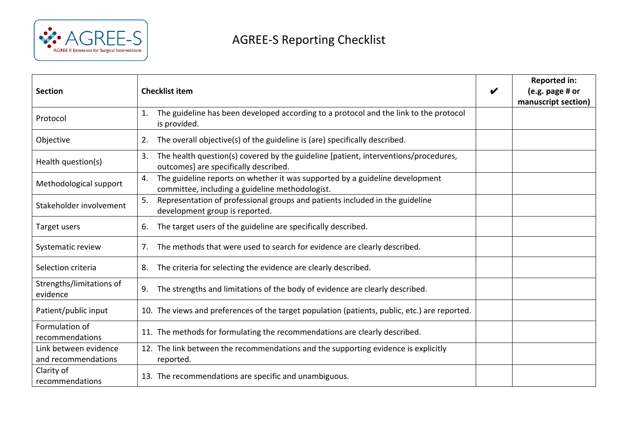

| <b>Section</b>                               | <b>Checklist item</b>                                                                                                                 | <b>Reported in:</b><br>(e.g. page # or<br>manuscript section) |
|----------------------------------------------|---------------------------------------------------------------------------------------------------------------------------------------|---------------------------------------------------------------|
| Protocol                                     | The guideline has been developed according to a protocol and the link to the protocol<br>1.<br>is provided.                           |                                                               |
| Objective                                    | The overall objective(s) of the guideline is (are) specifically described.<br>2.                                                      |                                                               |
| Health question(s)                           | 3.<br>The health question(s) covered by the guideline [patient, interventions/procedures,<br>outcomes] are specifically described.    |                                                               |
| Methodological support                       | The guideline reports on whether it was supported by a guideline development<br>4.<br>committee, including a guideline methodologist. |                                                               |
| Stakeholder involvement                      | Representation of professional groups and patients included in the guideline<br>5.<br>development group is reported.                  |                                                               |
| Target users                                 | The target users of the guideline are specifically described.<br>6.                                                                   |                                                               |
| Systematic review                            | The methods that were used to search for evidence are clearly described.<br>7.                                                        |                                                               |
| Selection criteria                           | The criteria for selecting the evidence are clearly described.<br>8.                                                                  |                                                               |
| Strengths/limitations of<br>evidence         | The strengths and limitations of the body of evidence are clearly described.<br>9.                                                    |                                                               |
| Patient/public input                         | 10. The views and preferences of the target population (patients, public, etc.) are reported.                                         |                                                               |
| Formulation of<br>recommendations            | 11. The methods for formulating the recommendations are clearly described.                                                            |                                                               |
| Link between evidence<br>and recommendations | 12. The link between the recommendations and the supporting evidence is explicitly<br>reported.                                       |                                                               |
| Clarity of<br>recommendations                | 13. The recommendations are specific and unambiguous.                                                                                 |                                                               |